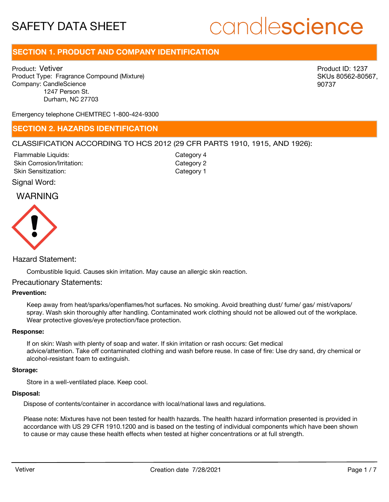# candlescience

# **SECTION 1. PRODUCT AND COMPANY IDENTIFICATION**

Product: Vetiver Product Type: Fragrance Compound (Mixture) Company: CandleScience 1247 Person St. Durham, NC 27703

Product ID: 1237 SKUs 80562-80567, 90737

Emergency telephone CHEMTREC 1-800-424-9300

# **SECTION 2. HAZARDS IDENTIFICATION**

# CLASSIFICATION ACCORDING TO HCS 2012 (29 CFR PARTS 1910, 1915, AND 1926):

Skin Corrosion/Irritation: Skin Sensitization: Flammable Liquids:

Category 2 Category 1 Category 4

# Signal Word:

# WARNING



# Hazard Statement:

Combustible liquid. Causes skin irritation. May cause an allergic skin reaction.

# Precautionary Statements:

# **Prevention:**

Keep away from heat/sparks/openflames/hot surfaces. No smoking. Avoid breathing dust/ fume/ gas/ mist/vapors/ spray. Wash skin thoroughly after handling. Contaminated work clothing should not be allowed out of the workplace. Wear protective gloves/eye protection/face protection.

### **Response:**

If on skin: Wash with plenty of soap and water. If skin irritation or rash occurs: Get medical advice/attention. Take off contaminated clothing and wash before reuse. In case of fire: Use dry sand, dry chemical or alcohol-resistant foam to extinguish.

#### **Storage:**

Store in a well-ventilated place. Keep cool.

### **Disposal:**

Dispose of contents/container in accordance with local/national laws and regulations.

Please note: Mixtures have not been tested for health hazards. The health hazard information presented is provided in accordance with US 29 CFR 1910.1200 and is based on the testing of individual components which have been shown to cause or may cause these health effects when tested at higher concentrations or at full strength.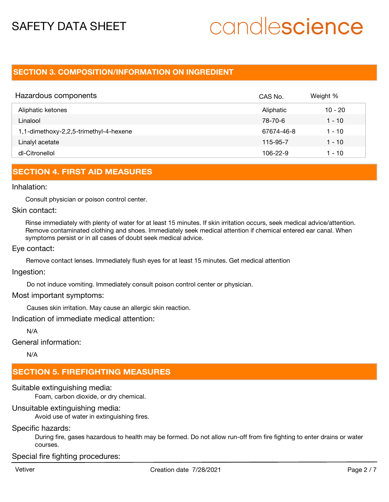# candlescience

# **SECTION 3. COMPOSITION/INFORMATION ON INGREDIENT**

| Hazardous components                   | CAS No.    | Weight %  |
|----------------------------------------|------------|-----------|
| Aliphatic ketones                      | Aliphatic  | $10 - 20$ |
| Linalool                               | 78-70-6    | 1 - 10    |
| 1,1-dimethoxy-2,2,5-trimethyl-4-hexene | 67674-46-8 | 1 - 10    |
| Linalyl acetate                        | 115-95-7   | 1 - 10    |
| dl-Citronellol                         | 106-22-9   | 1 - 10    |

# **SECTION 4. FIRST AID MEASURES**

## Inhalation:

Consult physician or poison control center.

# Skin contact:

Rinse immediately with plenty of water for at least 15 minutes. If skin irritation occurs, seek medical advice/attention. Remove contaminated clothing and shoes. Immediately seek medical attention if chemical entered ear canal. When symptoms persist or in all cases of doubt seek medical advice.

## Eye contact:

Remove contact lenses. Immediately flush eyes for at least 15 minutes. Get medical attention

# Ingestion:

Do not induce vomiting. Immediately consult poison control center or physician.

## Most important symptoms:

Causes skin irritation. May cause an allergic skin reaction.

Indication of immediate medical attention:

N/A

General information:

N/A

# **SECTION 5. FIREFIGHTING MEASURES**

## Suitable extinguishing media:

Foam, carbon dioxide, or dry chemical.

# Unsuitable extinguishing media:

Avoid use of water in extinguishing fires.

# Specific hazards:

During fire, gases hazardous to health may be formed. Do not allow run-off from fire fighting to enter drains or water courses.

# Special fire fighting procedures: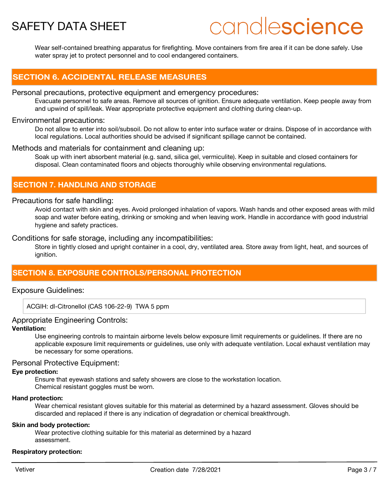# candlescience

Wear self-contained breathing apparatus for firefighting. Move containers from fire area if it can be done safely. Use water spray jet to protect personnel and to cool endangered containers.

# **SECTION 6. ACCIDENTAL RELEASE MEASURES**

# Personal precautions, protective equipment and emergency procedures:

Evacuate personnel to safe areas. Remove all sources of ignition. Ensure adequate ventilation. Keep people away from and upwind of spill/leak. Wear appropriate protective equipment and clothing during clean-up.

# Environmental precautions:

Do not allow to enter into soil/subsoil. Do not allow to enter into surface water or drains. Dispose of in accordance with local regulations. Local authorities should be advised if significant spillage cannot be contained.

# Methods and materials for containment and cleaning up:

Soak up with inert absorbent material (e.g. sand, silica gel, vermiculite). Keep in suitable and closed containers for disposal. Clean contaminated floors and objects thoroughly while observing environmental regulations.

# **SECTION 7. HANDLING AND STORAGE**

# Precautions for safe handling:

Avoid contact with skin and eyes. Avoid prolonged inhalation of vapors. Wash hands and other exposed areas with mild soap and water before eating, drinking or smoking and when leaving work. Handle in accordance with good industrial hygiene and safety practices.

# Conditions for safe storage, including any incompatibilities:

Store in tightly closed and upright container in a cool, dry, ventilated area. Store away from light, heat, and sources of ianition.

# **SECTION 8. EXPOSURE CONTROLS/PERSONAL PROTECTION**

# Exposure Guidelines:

ACGIH: dl-Citronellol (CAS 106-22-9) TWA 5 ppm

# Appropriate Engineering Controls:

# **Ventilation:**

Use engineering controls to maintain airborne levels below exposure limit requirements or guidelines. If there are no applicable exposure limit requirements or guidelines, use only with adequate ventilation. Local exhaust ventilation may be necessary for some operations.

# Personal Protective Equipment:

## **Eye protection:**

Ensure that eyewash stations and safety showers are close to the workstation location. Chemical resistant goggles must be worn.

## **Hand protection:**

Wear chemical resistant gloves suitable for this material as determined by a hazard assessment. Gloves should be discarded and replaced if there is any indication of degradation or chemical breakthrough.

# **Skin and body protection:**

Wear protective clothing suitable for this material as determined by a hazard assessment.

## **Respiratory protection:**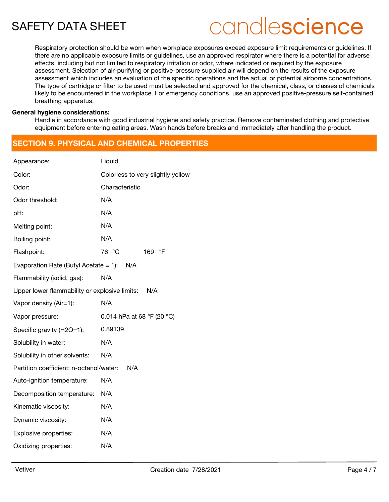# candlescience

Respiratory protection should be worn when workplace exposures exceed exposure limit requirements or guidelines. If there are no applicable exposure limits or guidelines, use an approved respirator where there is a potential for adverse effects, including but not limited to respiratory irritation or odor, where indicated or required by the exposure assessment. Selection of air-purifying or positive-pressure supplied air will depend on the results of the exposure assessment which includes an evaluation of the specific operations and the actual or potential airborne concentrations. The type of cartridge or filter to be used must be selected and approved for the chemical, class, or classes of chemicals likely to be encountered in the workplace. For emergency conditions, use an approved positive-pressure self-contained breathing apparatus.

## **General hygiene considerations:**

Handle in accordance with good industrial hygiene and safety practice. Remove contaminated clothing and protective equipment before entering eating areas. Wash hands before breaks and immediately after handling the product.

# **SECTION 9. PHYSICAL AND CHEMICAL PROPERTIES**

| Appearance:                                          | Liquid                            |  |  |  |
|------------------------------------------------------|-----------------------------------|--|--|--|
| Color:                                               | Colorless to very slightly yellow |  |  |  |
| Odor:                                                | Characteristic                    |  |  |  |
| Odor threshold:                                      | N/A                               |  |  |  |
| pH:                                                  | N/A                               |  |  |  |
| Melting point:                                       | N/A                               |  |  |  |
| Boiling point:                                       | N/A                               |  |  |  |
| Flashpoint:                                          | 76 °C<br>$\circ$ F<br>169         |  |  |  |
| Evaporation Rate (Butyl Acetate $= 1$ ):<br>N/A      |                                   |  |  |  |
| Flammability (solid, gas):                           | N/A                               |  |  |  |
| Upper lower flammability or explosive limits:<br>N/A |                                   |  |  |  |
| Vapor density (Air=1):                               | N/A                               |  |  |  |
| Vapor pressure:                                      | 0.014 hPa at 68 °F (20 °C)        |  |  |  |
| Specific gravity (H2O=1):                            | 0.89139                           |  |  |  |
| Solubility in water:                                 | N/A                               |  |  |  |
| Solubility in other solvents:                        | N/A                               |  |  |  |
| Partition coefficient: n-octanol/water:              | N/A                               |  |  |  |
| Auto-ignition temperature:                           | N/A                               |  |  |  |
| Decomposition temperature:                           | N/A                               |  |  |  |
| Kinematic viscosity:                                 | N/A                               |  |  |  |
| Dynamic viscosity:                                   | N/A                               |  |  |  |
| Explosive properties:                                | N/A                               |  |  |  |
| Oxidizing properties:                                | N/A                               |  |  |  |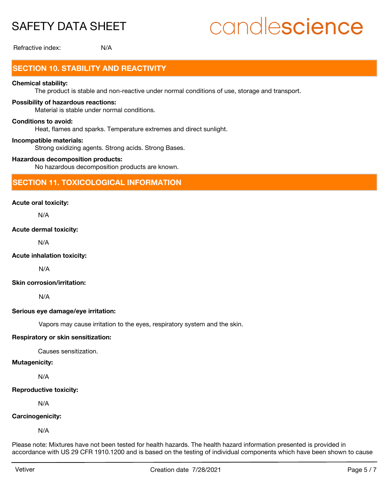# candlescience

Refractive index: N/A

# **SECTION 10. STABILITY AND REACTIVITY**

# **Chemical stability:**

The product is stable and non-reactive under normal conditions of use, storage and transport.

# **Possibility of hazardous reactions:**

Material is stable under normal conditions.

### **Conditions to avoid:**

Heat, flames and sparks. Temperature extremes and direct sunlight.

### **Incompatible materials:**

Strong oxidizing agents. Strong acids. Strong Bases.

### **Hazardous decomposition products:**

No hazardous decomposition products are known.

# **SECTION 11. TOXICOLOGICAL INFORMATION**

## **Acute oral toxicity:**

N/A

## **Acute dermal toxicity:**

N/A

## **Acute inhalation toxicity:**

N/A

# **Skin corrosion/irritation:**

N/A

## **Serious eye damage/eye irritation:**

Vapors may cause irritation to the eyes, respiratory system and the skin.

## **Respiratory or skin sensitization:**

Causes sensitization.

### **Mutagenicity:**

N/A

#### **Reproductive toxicity:**

N/A

## **Carcinogenicity:**

N/A

Please note: Mixtures have not been tested for health hazards. The health hazard information presented is provided in accordance with US 29 CFR 1910.1200 and is based on the testing of individual components which have been shown to cause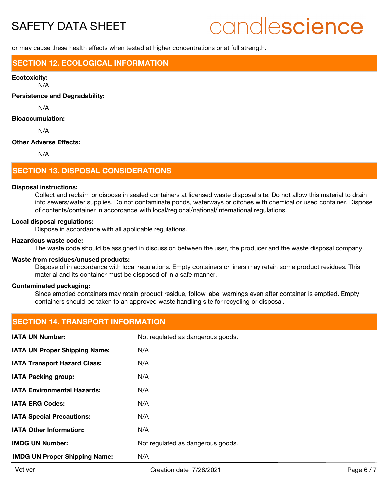# candlescience

or may cause these health effects when tested at higher concentrations or at full strength.

# **SECTION 12. ECOLOGICAL INFORMATION**

#### **Ecotoxicity:**

N/A

**Persistence and Degradability:**

N/A

### **Bioaccumulation:**

N/A

### **Other Adverse Effects:**

N/A

# **SECTION 13. DISPOSAL CONSIDERATIONS**

#### **Disposal instructions:**

Collect and reclaim or dispose in sealed containers at licensed waste disposal site. Do not allow this material to drain into sewers/water supplies. Do not contaminate ponds, waterways or ditches with chemical or used container. Dispose of contents/container in accordance with local/regional/national/international regulations.

#### **Local disposal regulations:**

Dispose in accordance with all applicable regulations.

### **Hazardous waste code:**

The waste code should be assigned in discussion between the user, the producer and the waste disposal company.

### **Waste from residues/unused products:**

Dispose of in accordance with local regulations. Empty containers or liners may retain some product residues. This material and its container must be disposed of in a safe manner.

## **Contaminated packaging:**

Since emptied containers may retain product residue, follow label warnings even after container is emptied. Empty containers should be taken to an approved waste handling site for recycling or disposal.

# **SECTION 14. TRANSPORT INFORMATION**

| <b>IATA UN Number:</b>               | Not regulated as dangerous goods. |
|--------------------------------------|-----------------------------------|
| <b>IATA UN Proper Shipping Name:</b> | N/A                               |
| <b>IATA Transport Hazard Class:</b>  | N/A                               |
| <b>IATA Packing group:</b>           | N/A                               |
| <b>IATA Environmental Hazards:</b>   | N/A                               |
| <b>IATA ERG Codes:</b>               | N/A                               |
| <b>IATA Special Precautions:</b>     | N/A                               |
| <b>IATA Other Information:</b>       | N/A                               |
| <b>IMDG UN Number:</b>               | Not regulated as dangerous goods. |
| <b>IMDG UN Proper Shipping Name:</b> | N/A                               |